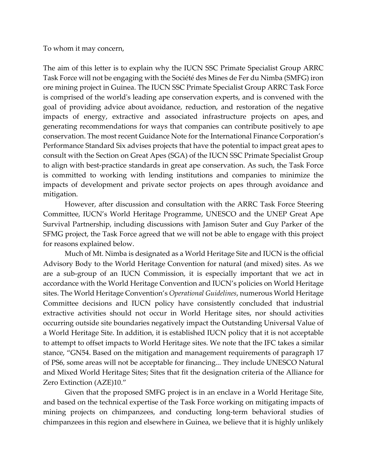To whom it may concern,

The aim of this letter is to explain why the IUCN SSC Primate Specialist Group ARRC Task Force will not be engaging with the Société des Mines de Fer du Nimba (SMFG) iron ore mining project in Guinea. The IUCN SSC Primate Specialist Group ARRC Task Force is comprised of the world's leading ape conservation experts, and is convened with the goal of providing advice about avoidance, reduction, and restoration of the negative impacts of energy, extractive and associated infrastructure projects on apes, and generating recommendations for ways that companies can contribute positively to ape conservation. The most recent Guidance Note for the International Finance Corporation's Performance Standard Six advises projects that have the potential to impact great apes to consult with the Section on Great Apes (SGA) of the IUCN SSC Primate Specialist Group to align with best-practice standards in great ape conservation. As such, the Task Force is committed to working with lending institutions and companies to minimize the impacts of development and private sector projects on apes through avoidance and mitigation.

However, after discussion and consultation with the ARRC Task Force Steering Committee, IUCN's World Heritage Programme, UNESCO and the UNEP Great Ape Survival Partnership, including discussions with Jamison Suter and Guy Parker of the SFMG project, the Task Force agreed that we will not be able to engage with this project for reasons explained below.

Much of Mt. Nimba is designated as a World Heritage Site and IUCN is the official Advisory Body to the World Heritage Convention for natural (and mixed) sites. As we are a sub-group of an IUCN Commission, it is especially important that we act in accordance with the World Heritage Convention and IUCN's policies on World Heritage sites. The World Heritage Convention's *Operational Guidelines*, numerous World Heritage Committee decisions and IUCN policy have consistently concluded that industrial extractive activities should not occur in World Heritage sites, nor should activities occurring outside site boundaries negatively impact the Outstanding Universal Value of a World Heritage Site. In addition, it is established IUCN policy that it is not acceptable to attempt to offset impacts to World Heritage sites. We note that the IFC takes a similar stance, "GN54. Based on the mitigation and management requirements of paragraph 17 of PS6, some areas will not be acceptable for financing... They include UNESCO Natural and Mixed World Heritage Sites; Sites that fit the designation criteria of the Alliance for Zero Extinction (AZE)10."

Given that the proposed SMFG project is in an enclave in a World Heritage Site, and based on the technical expertise of the Task Force working on mitigating impacts of mining projects on chimpanzees, and conducting long-term behavioral studies of chimpanzees in this region and elsewhere in Guinea, we believe that it is highly unlikely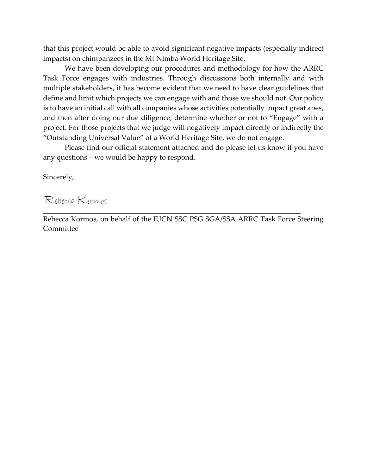that this project would be able to avoid significant negative impacts (especially indirect impacts) on chimpanzees in the Mt Nimba World Heritage Site.

We have been developing our procedures and methodology for how the ARRC Task Force engages with industries. Through discussions both internally and with multiple stakeholders, it has become evident that we need to have clear guidelines that define and limit which projects we can engage with and those we should not. Our policy is to have an initial call with all companies whose activities potentially impact great apes, and then after doing our due diligence, determine whether or not to "Engage" with a project. For those projects that we judge will negatively impact directly or indirectly the "Outstanding Universal Value" of a World Heritage Site, we do not engage.

Please find our official statement attached and do please let us know if you have any questions – we would be happy to respond.

Sincerely,

## Repecca Kormos

Rebecca Kormos, on behalf of the IUCN SSC PSG SGA/SSA ARRC Task Force Steering Committee